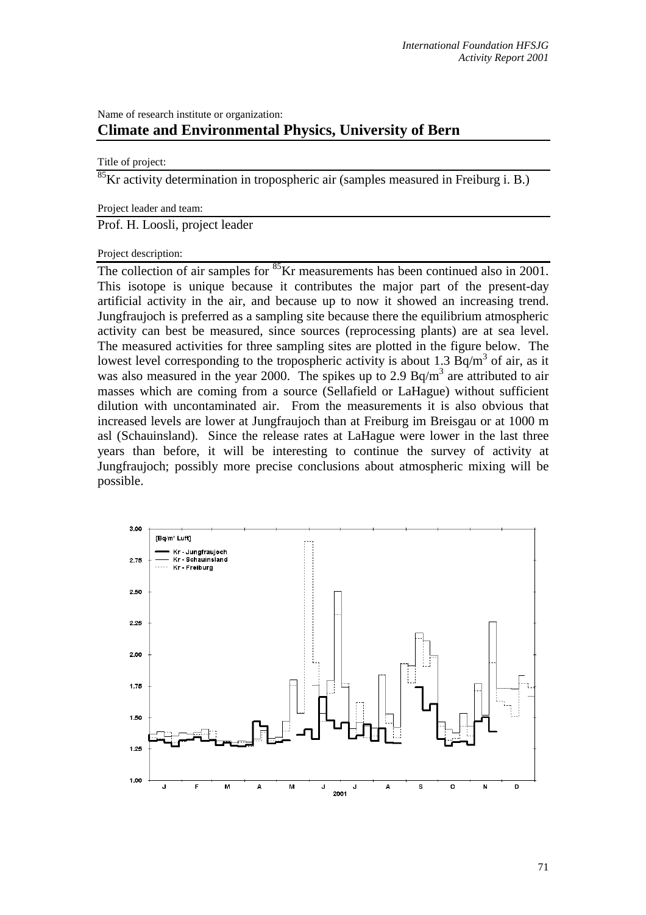## Name of research institute or organization: **Climate and Environmental Physics, University of Bern**

## Title of project:

<sup>85</sup>Kr activity determination in tropospheric air (samples measured in Freiburg i. B.)

## Project leader and team:

Prof. H. Loosli, project leader

## Project description:

The collection of air samples for <sup>85</sup>Kr measurements has been continued also in 2001. This isotope is unique because it contributes the major part of the present-day artificial activity in the air, and because up to now it showed an increasing trend. Jungfraujoch is preferred as a sampling site because there the equilibrium atmospheric activity can best be measured, since sources (reprocessing plants) are at sea level. The measured activities for three sampling sites are plotted in the figure below. The lowest level corresponding to the tropospheric activity is about 1.3  $\text{Bq/m}^3$  of air, as it was also measured in the year 2000. The spikes up to 2.9  $Bq/m<sup>3</sup>$  are attributed to air masses which are coming from a source (Sellafield or LaHague) without sufficient dilution with uncontaminated air. From the measurements it is also obvious that increased levels are lower at Jungfraujoch than at Freiburg im Breisgau or at 1000 m asl (Schauinsland). Since the release rates at LaHague were lower in the last three years than before, it will be interesting to continue the survey of activity at Jungfraujoch; possibly more precise conclusions about atmospheric mixing will be possible.